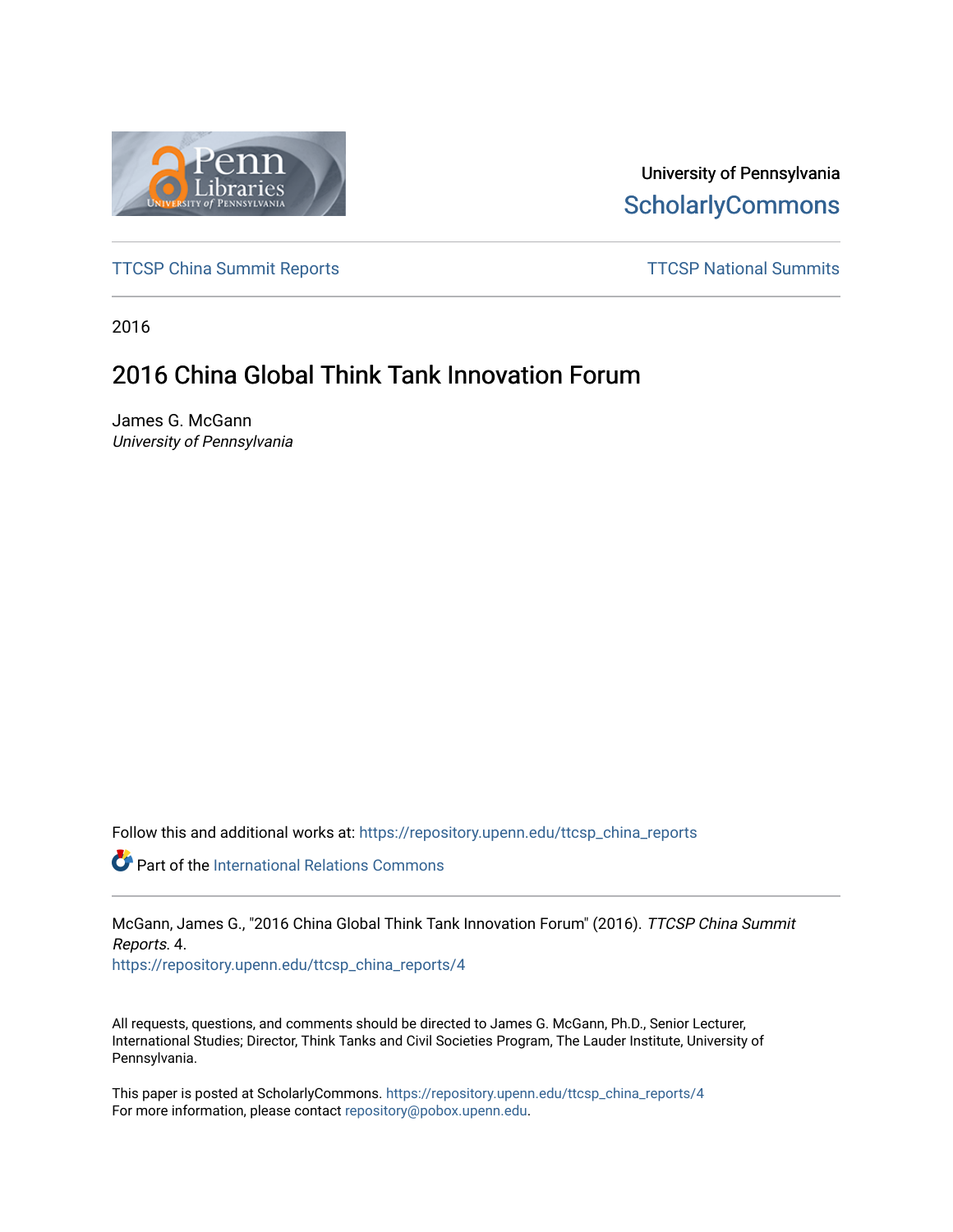

University of Pennsylvania **ScholarlyCommons** 

[TTCSP China Summit Reports](https://repository.upenn.edu/ttcsp_china_reports) [TTCSP National Summits](https://repository.upenn.edu/ttcsp_nationalsummits) 

2016

#### 2016 China Global Think Tank Innovation Forum

James G. McGann University of Pennsylvania

Follow this and additional works at: [https://repository.upenn.edu/ttcsp\\_china\\_reports](https://repository.upenn.edu/ttcsp_china_reports?utm_source=repository.upenn.edu%2Fttcsp_china_reports%2F4&utm_medium=PDF&utm_campaign=PDFCoverPages)

**Part of the International Relations Commons** 

McGann, James G., "2016 China Global Think Tank Innovation Forum" (2016). TTCSP China Summit Reports. 4.

[https://repository.upenn.edu/ttcsp\\_china\\_reports/4](https://repository.upenn.edu/ttcsp_china_reports/4?utm_source=repository.upenn.edu%2Fttcsp_china_reports%2F4&utm_medium=PDF&utm_campaign=PDFCoverPages)

All requests, questions, and comments should be directed to James G. McGann, Ph.D., Senior Lecturer, International Studies; Director, Think Tanks and Civil Societies Program, The Lauder Institute, University of Pennsylvania.

This paper is posted at ScholarlyCommons. [https://repository.upenn.edu/ttcsp\\_china\\_reports/4](https://repository.upenn.edu/ttcsp_china_reports/4)  For more information, please contact [repository@pobox.upenn.edu.](mailto:repository@pobox.upenn.edu)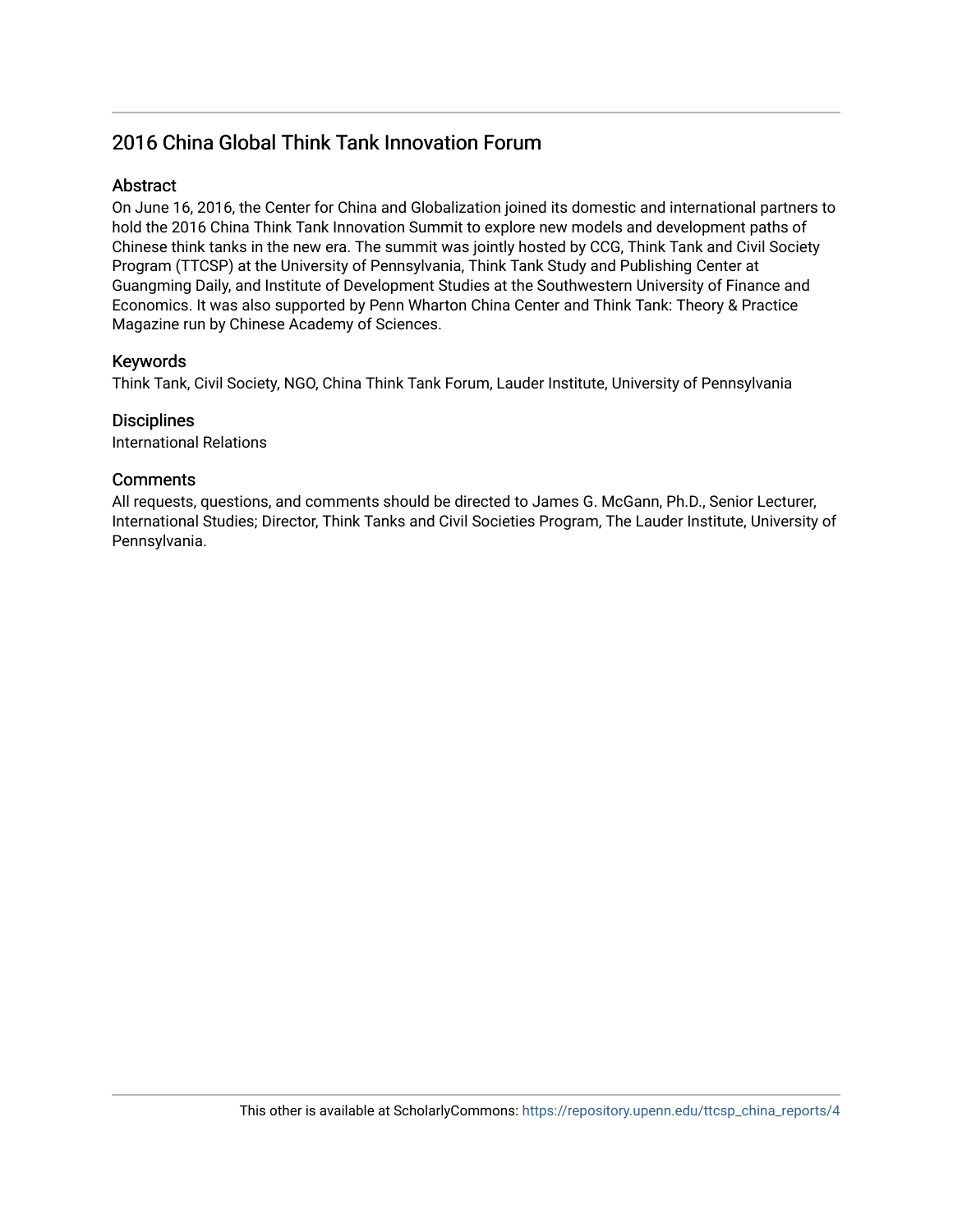#### 2016 China Global Think Tank Innovation Forum

#### **Abstract**

On June 16, 2016, the Center for China and Globalization joined its domestic and international partners to hold the 2016 China Think Tank Innovation Summit to explore new models and development paths of Chinese think tanks in the new era. The summit was jointly hosted by CCG, Think Tank and Civil Society Program (TTCSP) at the University of Pennsylvania, Think Tank Study and Publishing Center at Guangming Daily, and Institute of Development Studies at the Southwestern University of Finance and Economics. It was also supported by Penn Wharton China Center and Think Tank: Theory & Practice Magazine run by Chinese Academy of Sciences.

#### Keywords

Think Tank, Civil Society, NGO, China Think Tank Forum, Lauder Institute, University of Pennsylvania

#### **Disciplines**

International Relations

#### **Comments**

All requests, questions, and comments should be directed to James G. McGann, Ph.D., Senior Lecturer, International Studies; Director, Think Tanks and Civil Societies Program, The Lauder Institute, University of Pennsylvania.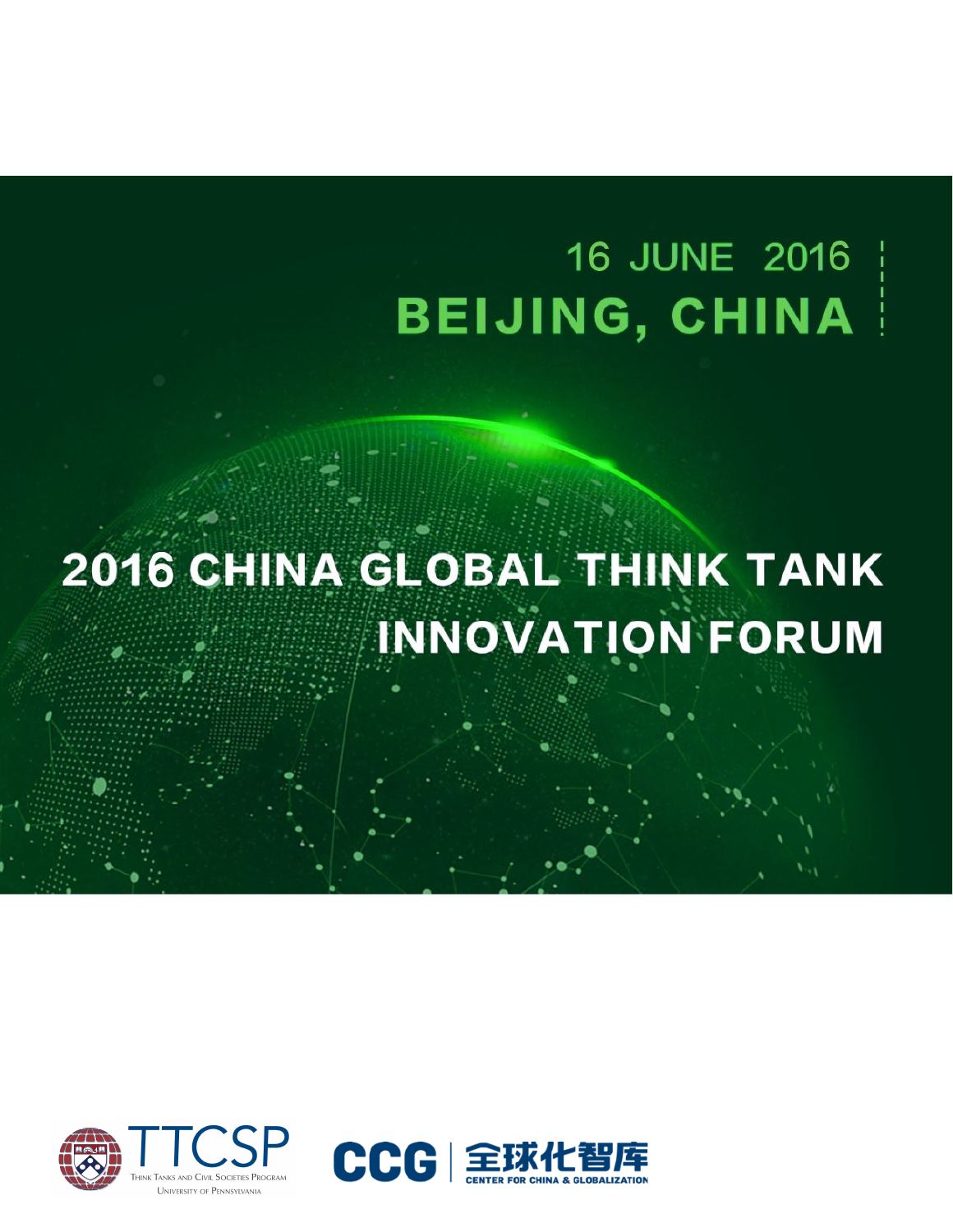**16 JUNE 2016 BEIJING, CHINA** 

# 2016 CHINA GLOBAL THINK TANK **INNOVATION FORUM**







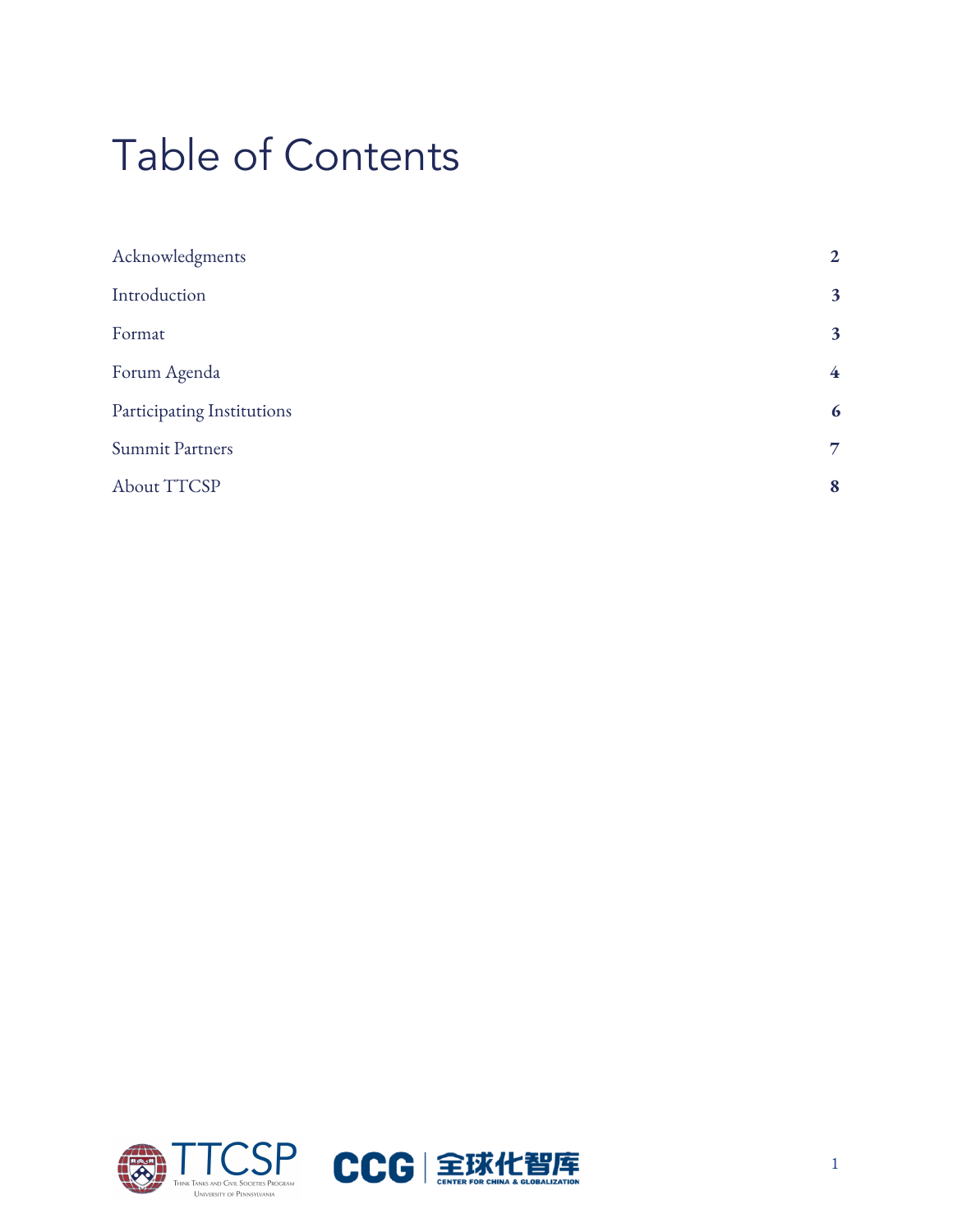## Table of Contents

| Acknowledgments            | $\overline{2}$ |
|----------------------------|----------------|
| Introduction               | $\mathbf{3}$   |
| Format                     | $\mathbf{3}$   |
| Forum Agenda               | $\overline{4}$ |
| Participating Institutions | 6              |
| <b>Summit Partners</b>     | 7              |
| <b>About TTCSP</b>         | 8              |



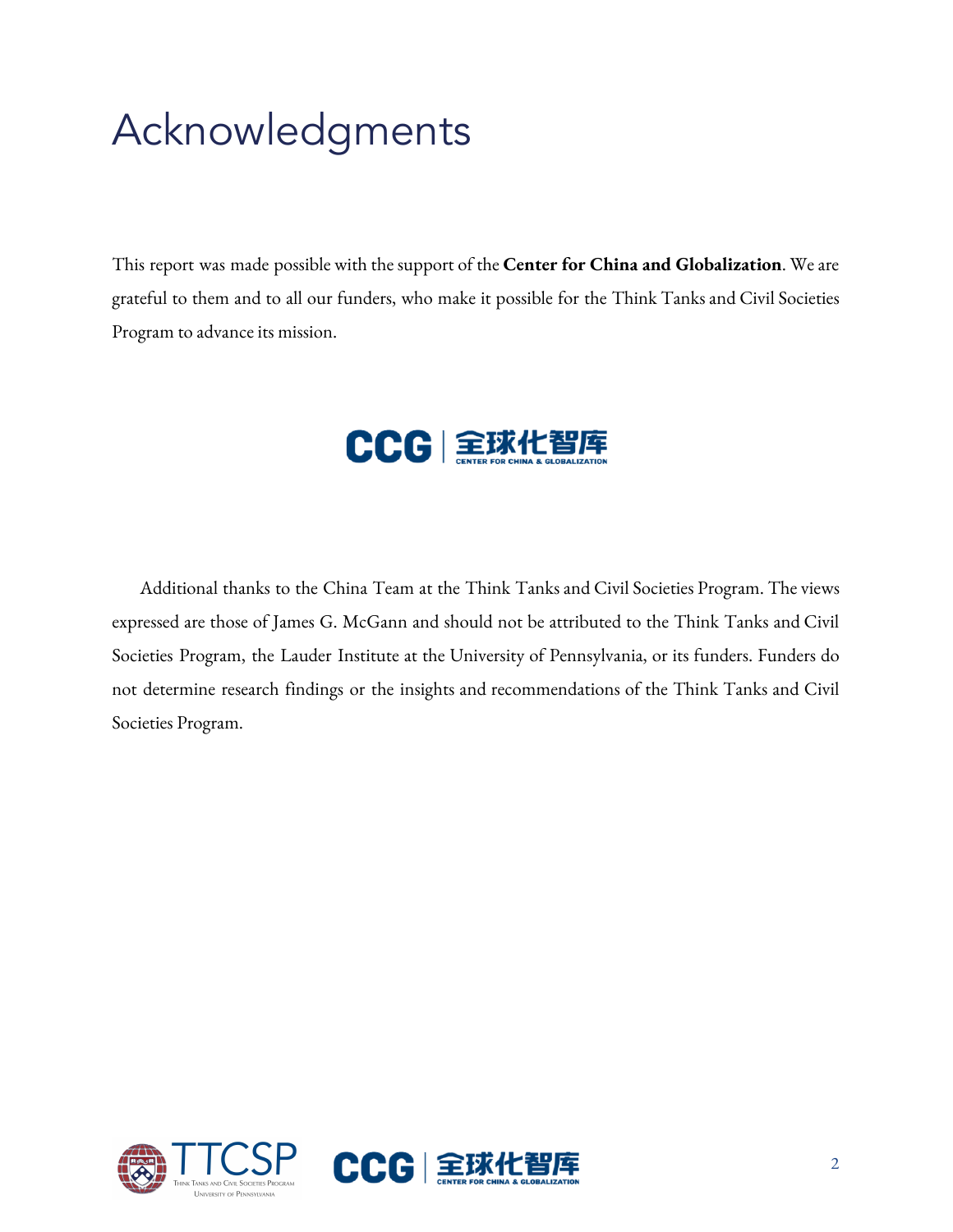### <span id="page-4-0"></span>Acknowledgments

This report was made possible with the support of the **Center for China and Globalization**. Weare grateful to them and to all our funders, who make it possible for the Think Tanksand Civil Societies Program to advance its mission.



Additional thanks to the China Team at the Think Tanksand Civil Societies Program. The views expressed are those of James G. McGann and should not be attributed to the Think Tanks and Civil Societies Program, the Lauder Institute at the University of Pennsylvania, or its funders. Funders do not determine research findings or the insights and recommendations of the Think Tanks and Civil Societies Program.



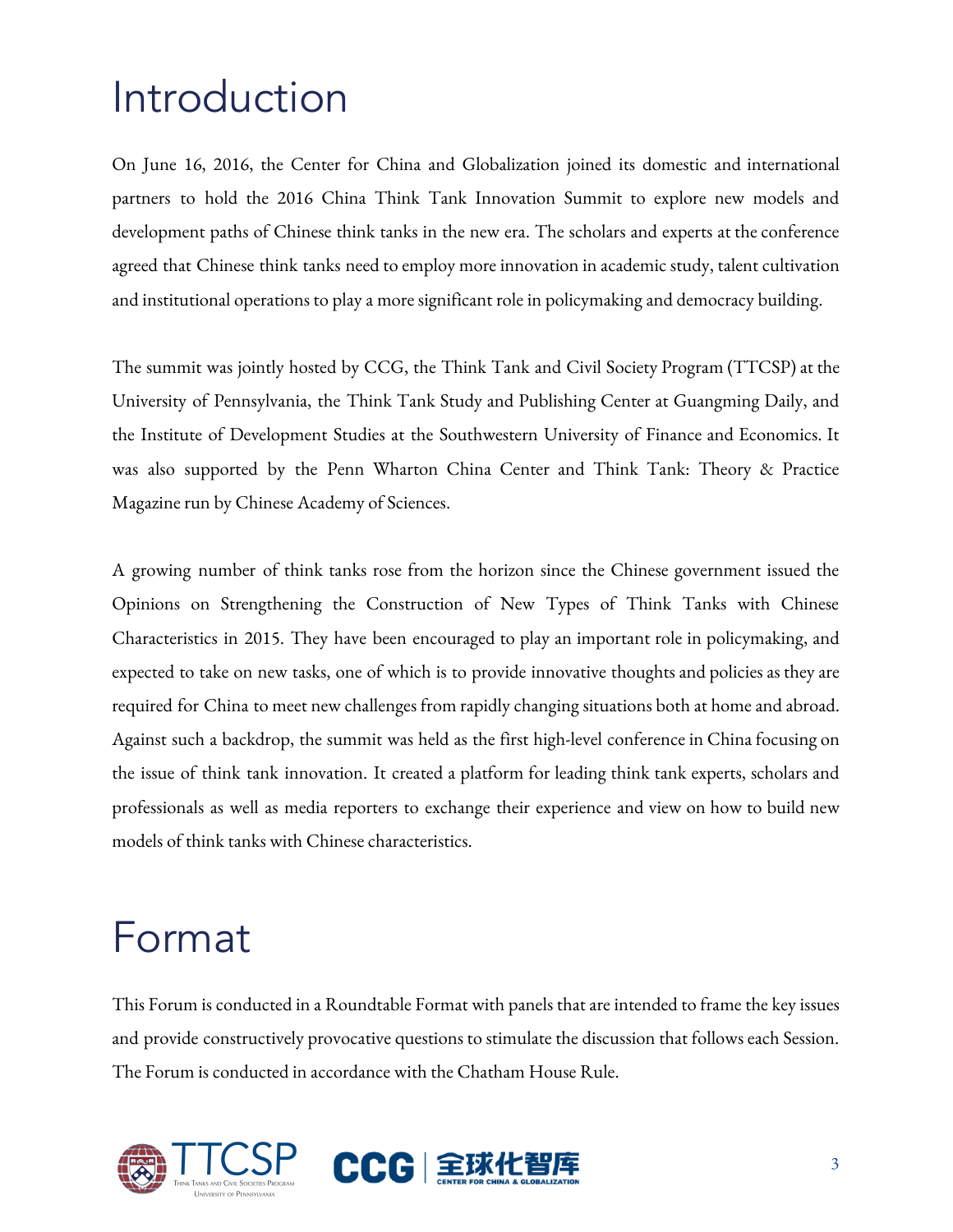### <span id="page-5-0"></span>Introduction

On June 16, 2016, the Center for China and Globalization joined its domestic and international partners to hold the 2016 China Think Tank Innovation Summit to explore new models and development paths of Chinese think tanks in the new era. The scholars and experts at the conference agreed that Chinese think tanks need to employ more innovation in academic study, talent cultivation and institutional operations to play a more significant role in policymaking and democracy building.

The summit was jointly hosted by CCG, the Think Tank and Civil Society Program (TTCSP) at the University of Pennsylvania, the Think Tank Study and Publishing Center at Guangming Daily, and the Institute of Development Studies at the Southwestern University of Finance and Economics. It was also supported by the Penn Wharton China Center and Think Tank: Theory & Practice Magazine run by Chinese Academy of Sciences.

A growing number of think tanks rose from the horizon since the Chinese government issued the Opinions on Strengthening the Construction of New Types of Think Tanks with Chinese Characteristics in 2015. They have been encouraged to play an important role in policymaking, and expected to take on new tasks, one of which is to provide innovative thoughts and policies as they are required for China to meet new challenges from rapidly changing situations both at home and abroad. Against such a backdrop, the summit was held as the first high-level conference in China focusing on the issue of think tank innovation. It created a platform for leading think tank experts, scholars and professionals as well as media reporters to exchange their experience and view on how to build new models of think tanks with Chinese characteristics.

### <span id="page-5-1"></span>Format

This Forum is conducted in a Roundtable Format with panels that are intended to frame the key issues and provide constructively provocative questions to stimulate the discussion that follows each Session. The Forum is conducted in accordance with the Chatham House Rule.



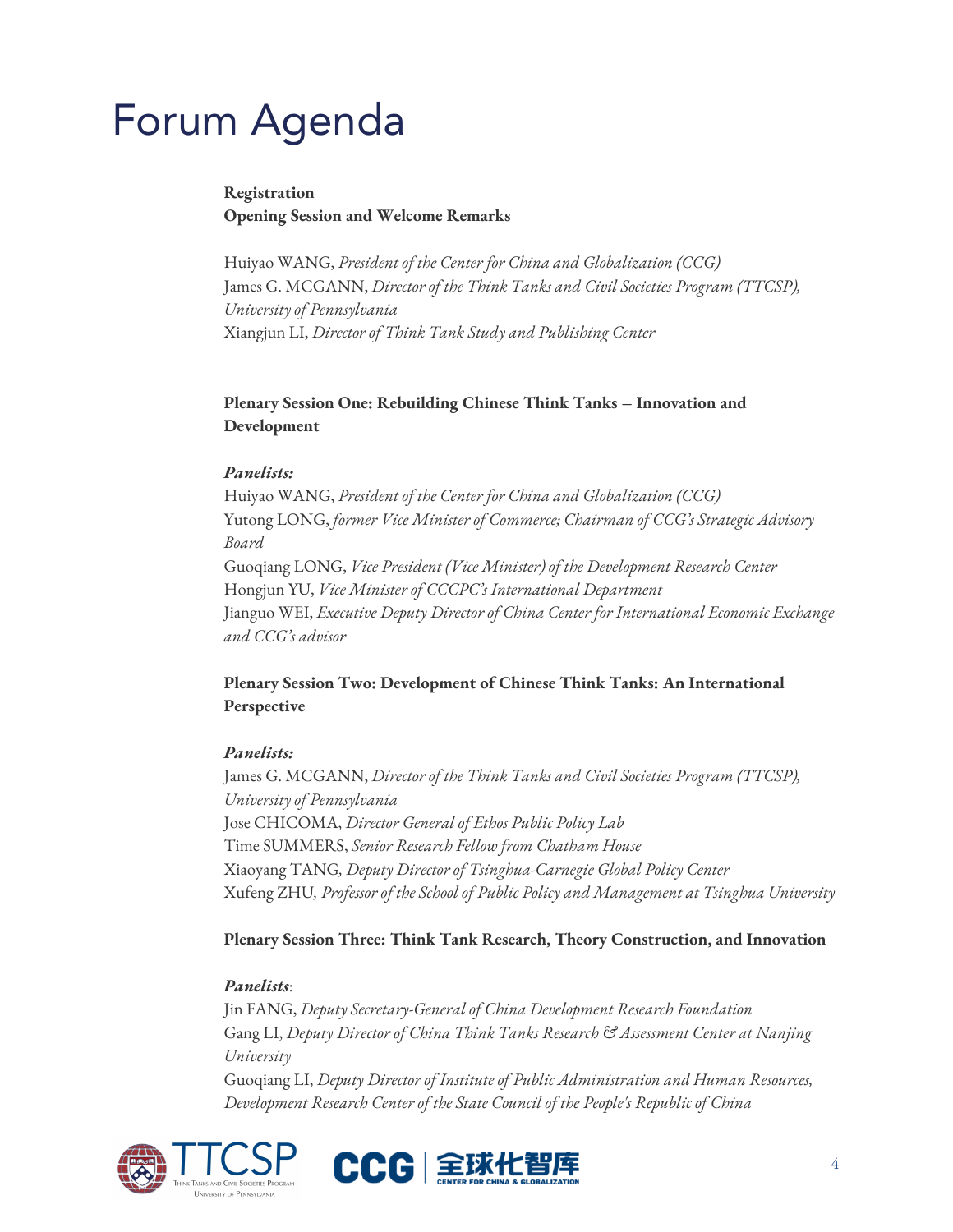### <span id="page-6-0"></span>Forum Agenda

#### **Registration Opening Session and Welcome Remarks**

Huiyao WANG, *President of the Center for China and Globalization (CCG)* James G. MCGANN, *Director of the Think Tanks and Civil Societies Program (TTCSP), University of Pennsylvania* Xiangjun LI, *Director of Think Tank Study and Publishing Center*

#### **Plenary Session One: Rebuilding Chinese Think Tanks – Innovation and Development**

#### *Panelists:*

Huiyao WANG, *President of the Center for China and Globalization (CCG)* Yutong LONG, *former Vice Minister of Commerce; Chairman of CCG's Strategic Advisory Board* Guoqiang LONG, *Vice President (Vice Minister) of the Development Research Center* Hongjun YU, *Vice Minister of CCCPC's International Department* Jianguo WEI, *Executive Deputy Director of China Center for International Economic Exchange and CCG's advisor*

#### **Plenary Session Two: Development of Chinese Think Tanks: An International Perspective**

#### *Panelists:*

James G. MCGANN, *Director of the Think Tanks and Civil Societies Program (TTCSP), University of Pennsylvania* Jose CHICOMA, *Director General of Ethos Public Policy Lab* Time SUMMERS, *Senior Research Fellow from Chatham House* Xiaoyang TANG*, Deputy Director of Tsinghua-Carnegie Global Policy Center* Xufeng ZHU*, Professor of the School of Public Policy and Management at Tsinghua University*

#### **Plenary Session Three: Think Tank Research, Theory Construction, and Innovation**

#### *Panelists*:

Jin FANG, *Deputy Secretary-General of China Development Research Foundation* Gang LI, *Deputy Director of China Think Tanks Research & Assessment Center at Nanjing University*

Guoqiang LI, *Deputy Director of Institute of Public Administration and Human Resources, Development Research Center of the State Council of the People's Republic of China*



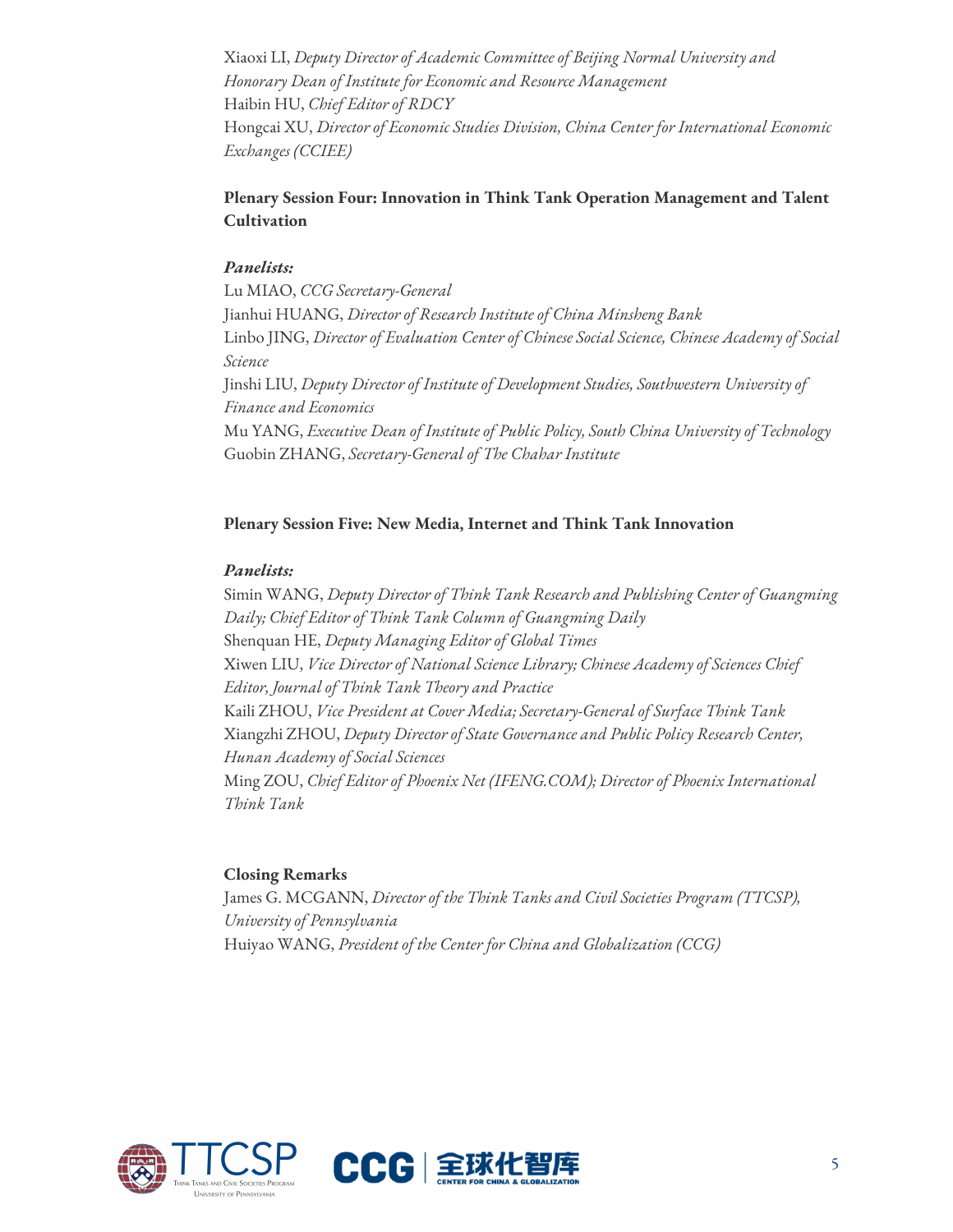Xiaoxi LI, *Deputy Director of Academic Committee of Beijing Normal University and Honorary Dean of Institute for Economic and Resource Management* Haibin HU, *Chief Editor of RDCY* Hongcai XU, *Director of Economic Studies Division, China Center for International Economic Exchanges (CCIEE)*

#### **Plenary Session Four: Innovation in Think Tank Operation Management and Talent Cultivation**

#### *Panelists:*

Lu MIAO, *CCG Secretary-General* Jianhui HUANG, *Director of Research Institute of China Minsheng Bank* Linbo JING, *Director of Evaluation Center of Chinese Social Science, Chinese Academy of Social Science* Jinshi LIU, *Deputy Director of Institute of Development Studies, Southwestern University of Finance and Economics* Mu YANG, *Executive Dean of Institute of Public Policy, South China University of Technology* Guobin ZHANG, *Secretary-General of The Chahar Institute*

#### **Plenary Session Five: New Media, Internet and Think Tank Innovation**

#### *Panelists:*

Simin WANG, *Deputy Director of Think Tank Research and Publishing Center of Guangming Daily; Chief Editor of Think Tank Column of Guangming Daily* Shenquan HE, *Deputy Managing Editor of Global Times* Xiwen LIU, *Vice Director of National Science Library; Chinese Academy of Sciences Chief Editor, Journal of Think Tank Theory and Practice* Kaili ZHOU, *Vice President at Cover Media; Secretary-General of Surface Think Tank* Xiangzhi ZHOU, *Deputy Director of State Governance and Public Policy Research Center, Hunan Academy of Social Sciences* Ming ZOU, *Chief Editor of Phoenix Net (IFENG.COM); Director of Phoenix International Think Tank*

#### **Closing Remarks**

James G. MCGANN, *Director of the Think Tanks and Civil Societies Program (TTCSP), University of Pennsylvania* Huiyao WANG, *President of the Center for China and Globalization (CCG)*



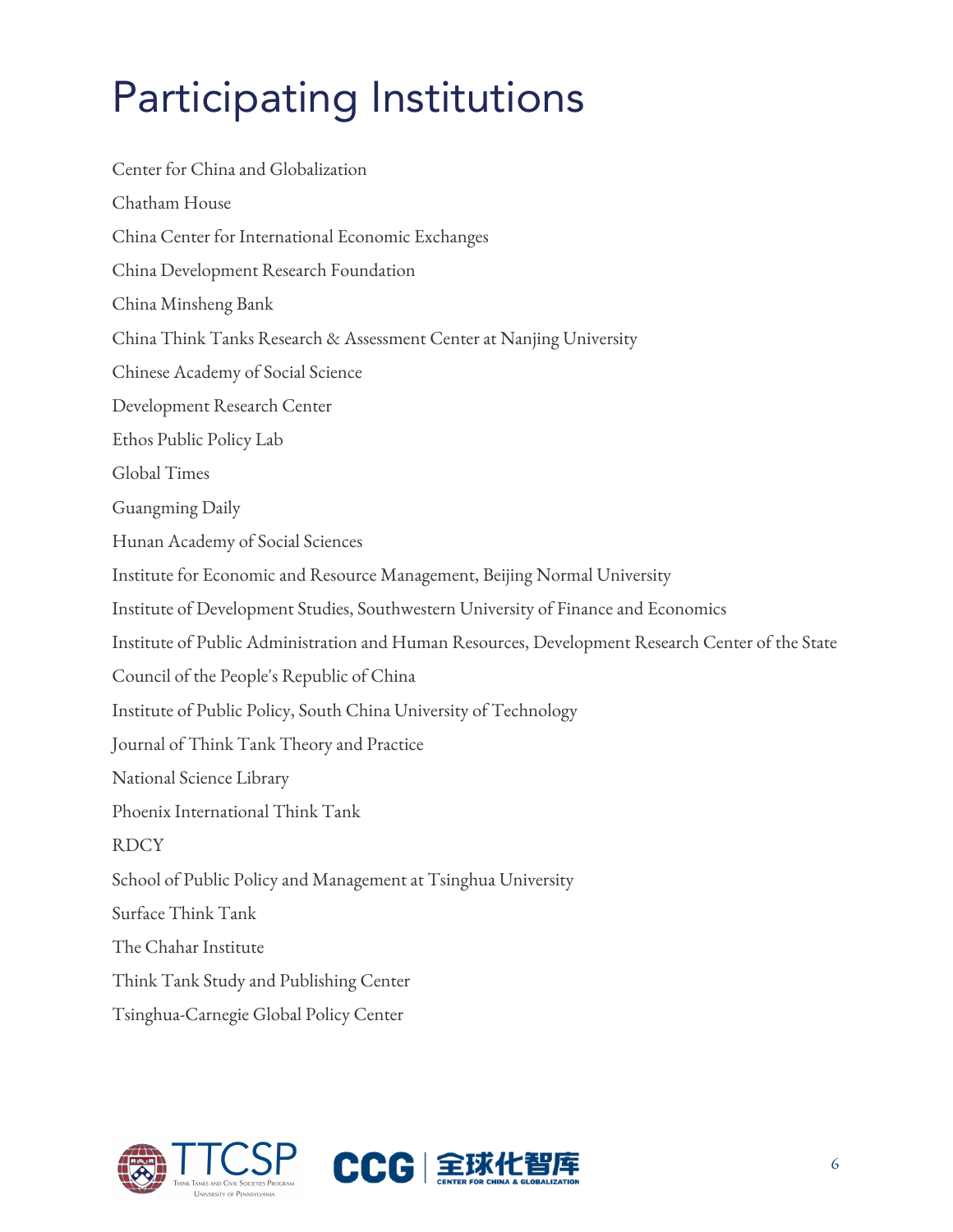## <span id="page-8-0"></span>Participating Institutions

Center for China and Globalization Chatham House China Center for International Economic Exchanges China Development Research Foundation China Minsheng Bank China Think Tanks Research & Assessment Center at Nanjing University Chinese Academy of Social Science Development Research Center Ethos Public Policy Lab Global Times Guangming Daily Hunan Academy of Social Sciences Institute for Economic and Resource Management, Beijing Normal University Institute of Development Studies, Southwestern University of Finance and Economics Institute of Public Administration and Human Resources, Development Research Center of the State Council of the People's Republic of China Institute of Public Policy, South China University of Technology Journal of Think Tank Theory and Practice National Science Library Phoenix International Think Tank RDCY School of Public Policy and Management at Tsinghua University Surface Think Tank The Chahar Institute Think Tank Study and Publishing Center Tsinghua-Carnegie Global Policy Center



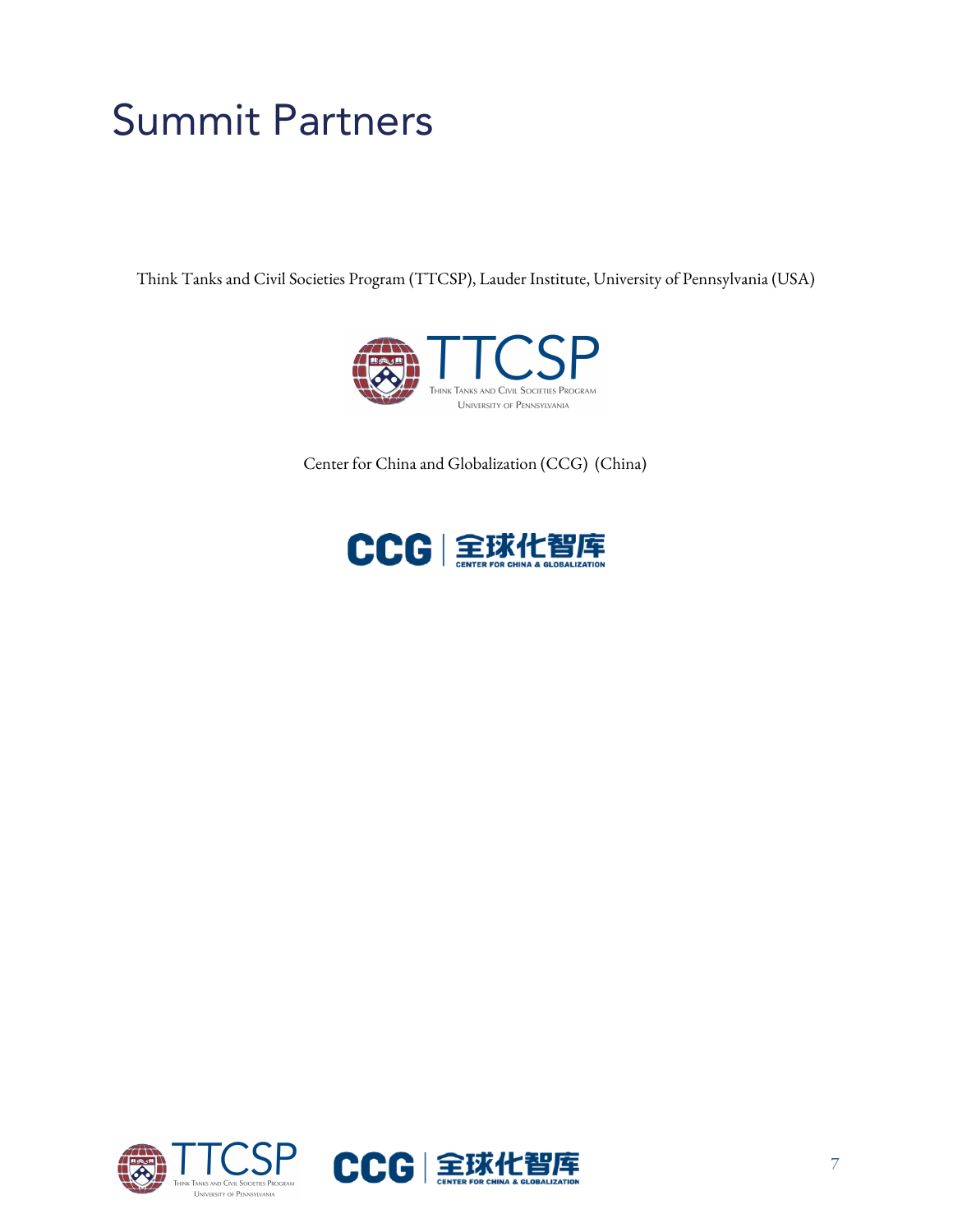### <span id="page-9-0"></span>Summit Partners

Think Tanks and Civil Societies Program (TTCSP), Lauder Institute, University of Pennsylvania (USA)



Center for China and Globalization (CCG) (China)





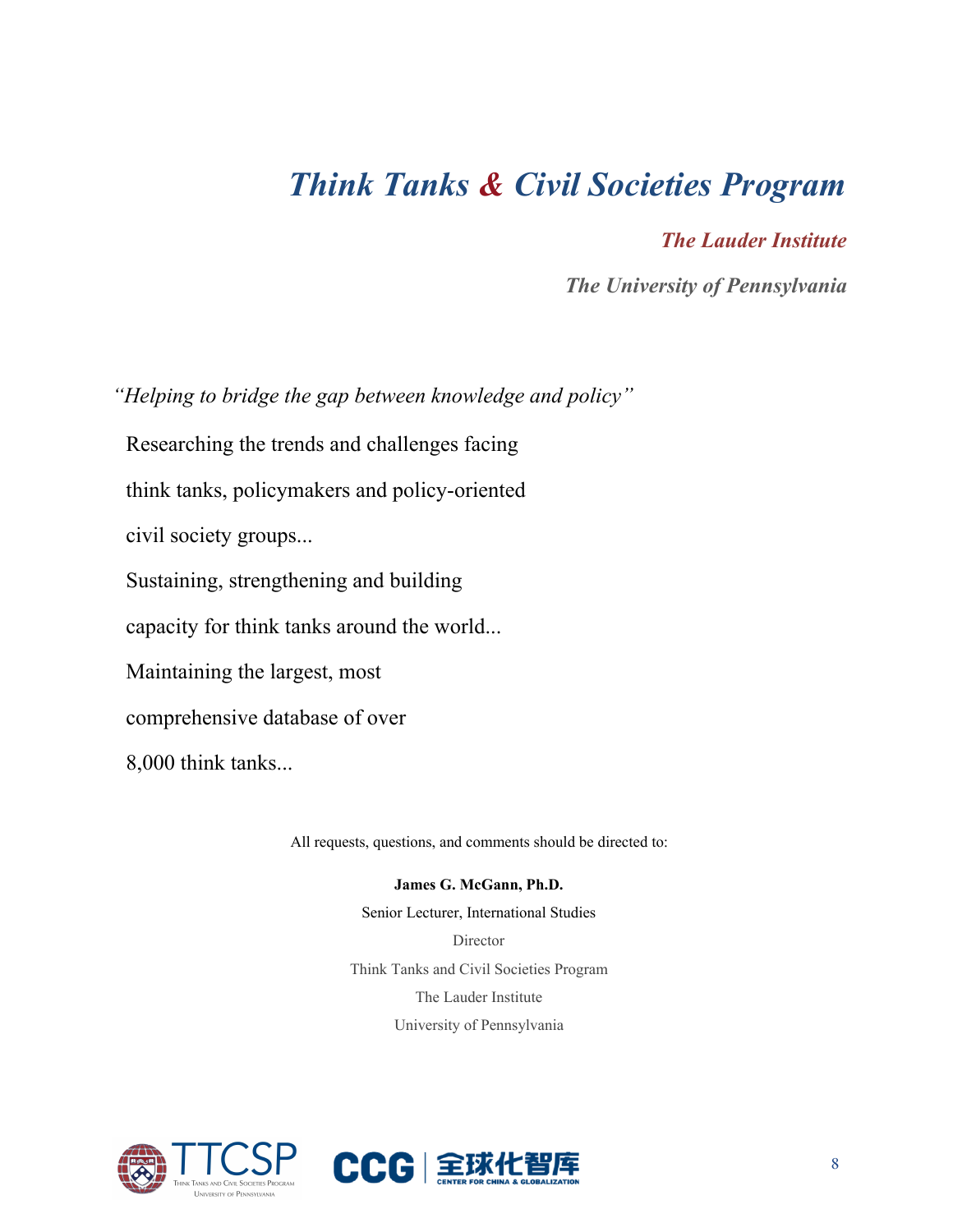### *Think Tanks & Civil Societies Program*

#### *The Lauder Institute*

*The University of Pennsylvania*

*"Helping to bridge the gap between knowledge and policy"*

Researching the trends and challenges facing

think tanks, policymakers and policy-oriented

civil society groups...

Sustaining, strengthening and building

capacity for think tanks around the world...

Maintaining the largest, most

comprehensive database of over

8,000 think tanks...

All requests, questions, and comments should be directed to:

**James G. McGann, Ph.D.** Senior Lecturer, International Studies Director Think Tanks and Civil Societies Program The Lauder Institute University of Pennsylvania



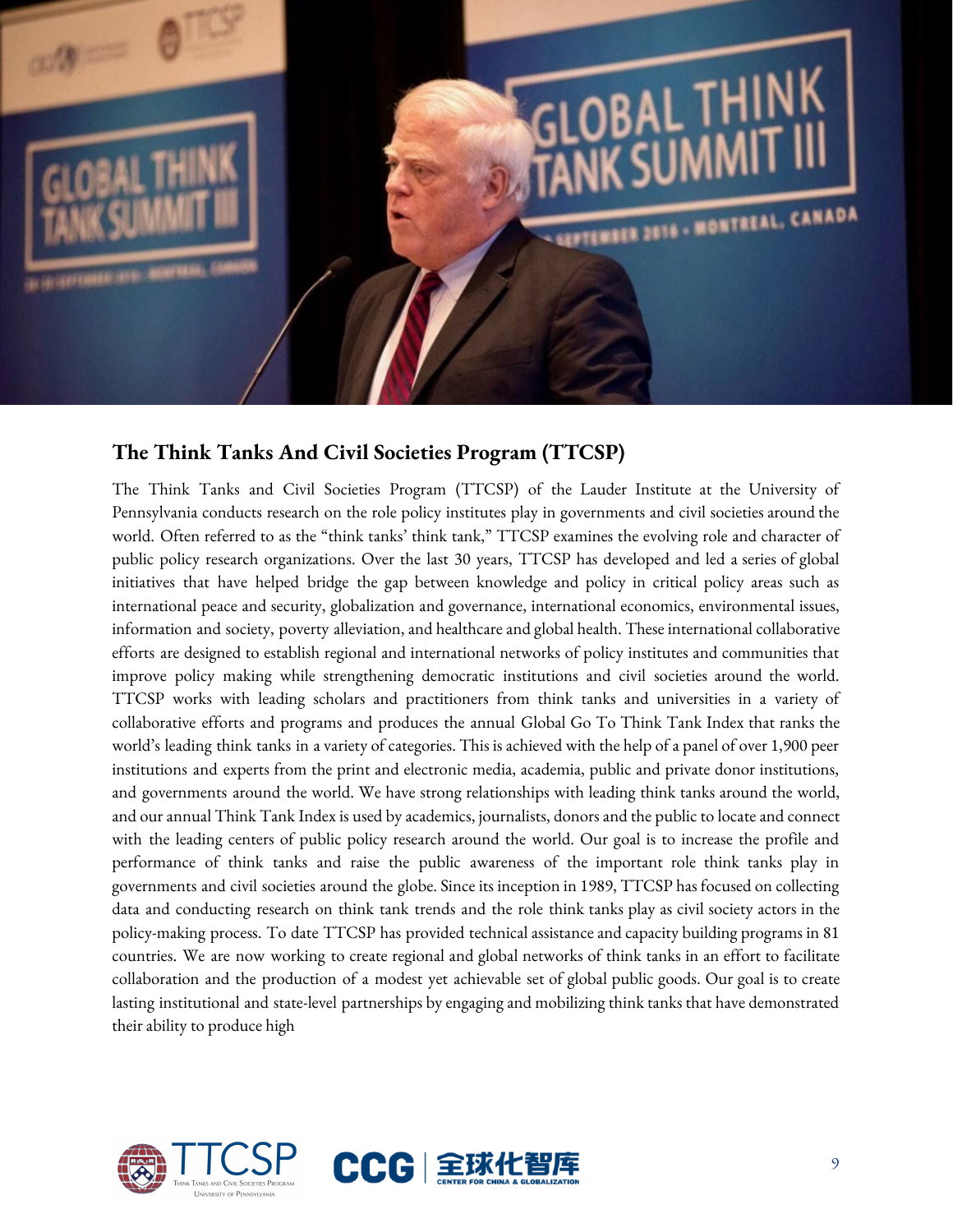

#### **The Think Tanks And Civil Societies Program (TTCSP)**

The Think Tanks and Civil Societies Program (TTCSP) of the Lauder Institute at the University of Pennsylvania conducts research on the role policy institutes play in governments and civil societies around the world. Often referred to as the "think tanks' think tank," TTCSP examines the evolving role and character of public policy research organizations. Over the last 30 years, TTCSP has developed and led a series of global initiatives that have helped bridge the gap between knowledge and policy in critical policy areas such as international peace and security, globalization and governance, international economics, environmental issues, information and society, poverty alleviation, and healthcare and global health. These international collaborative efforts are designed to establish regional and international networks of policy institutes and communities that improve policy making while strengthening democratic institutions and civil societies around the world. TTCSP works with leading scholars and practitioners from think tanks and universities in a variety of collaborative efforts and programs and produces the annual Global Go To Think Tank Index that ranks the world's leading think tanks in a variety of categories. This is achieved with the help of a panel of over 1,900 peer institutions and experts from the print and electronic media, academia, public and private donor institutions, and governments around the world. We have strong relationships with leading think tanks around the world, and our annual Think Tank Index is used by academics, journalists, donors and the public to locate and connect with the leading centers of public policy research around the world. Our goal is to increase the profile and performance of think tanks and raise the public awareness of the important role think tanks play in governments and civil societies around the globe. Since its inception in 1989, TTCSP has focused on collecting data and conducting research on think tank trends and the role think tanks play as civil society actors in the policy-making process. To date TTCSP has provided technical assistance and capacity building programs in 81 countries. We are now working to create regional and global networks of think tanks in an effort to facilitate collaboration and the production of a modest yet achievable set of global public goods. Our goal is to create lasting institutional and state-level partnerships by engaging and mobilizing think tanks that have demonstrated their ability to produce high